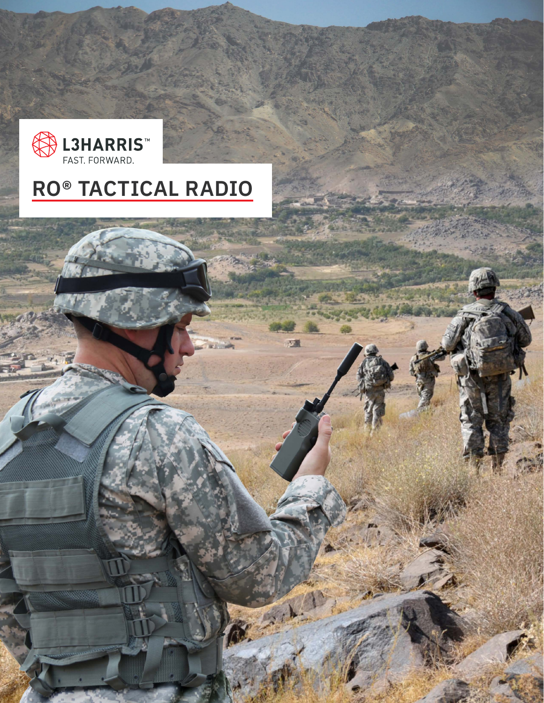

# **RO® TACTICAL RADIO**

圖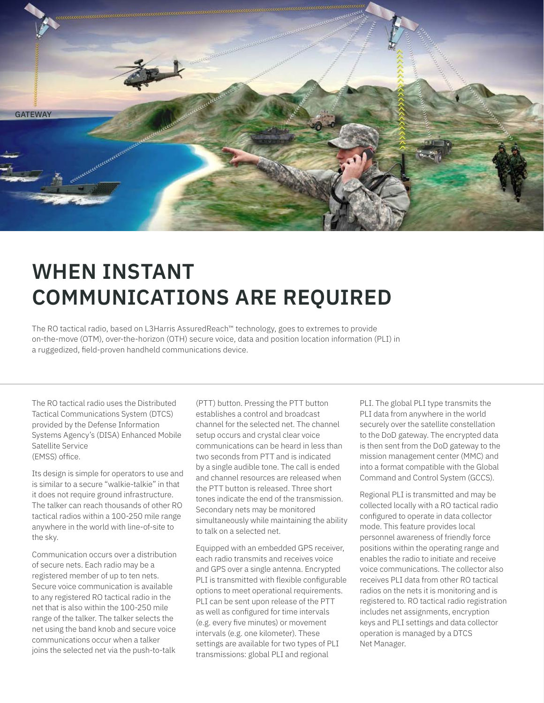

# **WHEN INSTANT COMMUNICATIONS ARE REQUIRED**

The RO tactical radio, based on L3Harris AssuredReach™ technology, goes to extremes to provide on-the-move (OTM), over-the-horizon (OTH) secure voice, data and position location information (PLI) in a ruggedized, field-proven handheld communications device.

The RO tactical radio uses the Distributed Tactical Communications System (DTCS) provided by the Defense Information Systems Agency's (DISA) Enhanced Mobile Satellite Service (EMSS) office.

Its design is simple for operators to use and is similar to a secure "walkie-talkie" in that it does not require ground infrastructure. The talker can reach thousands of other RO tactical radios within a 100-250 mile range anywhere in the world with line-of-site to the sky.

Communication occurs over a distribution of secure nets. Each radio may be a registered member of up to ten nets. Secure voice communication is available to any registered RO tactical radio in the net that is also within the 100-250 mile range of the talker. The talker selects the net using the band knob and secure voice communications occur when a talker joins the selected net via the push-to-talk

(PTT) button. Pressing the PTT button establishes a control and broadcast channel for the selected net. The channel setup occurs and crystal clear voice communications can be heard in less than two seconds from PTT and is indicated by a single audible tone. The call is ended and channel resources are released when the PTT button is released. Three short tones indicate the end of the transmission. Secondary nets may be monitored simultaneously while maintaining the ability to talk on a selected net.

Equipped with an embedded GPS receiver, each radio transmits and receives voice and GPS over a single antenna. Encrypted PLI is transmitted with flexible configurable options to meet operational requirements. PLI can be sent upon release of the PTT as well as configured for time intervals (e.g. every five minutes) or movement intervals (e.g. one kilometer). These settings are available for two types of PLI transmissions: global PLI and regional

PLI. The global PLI type transmits the PLI data from anywhere in the world securely over the satellite constellation to the DoD gateway. The encrypted data is then sent from the DoD gateway to the mission management center (MMC) and into a format compatible with the Global Command and Control System (GCCS).

Regional PLI is transmitted and may be collected locally with a RO tactical radio configured to operate in data collector mode. This feature provides local personnel awareness of friendly force positions within the operating range and enables the radio to initiate and receive voice communications. The collector also receives PLI data from other RO tactical radios on the nets it is monitoring and is registered to. RO tactical radio registration includes net assignments, encryption keys and PLI settings and data collector operation is managed by a DTCS Net Manager.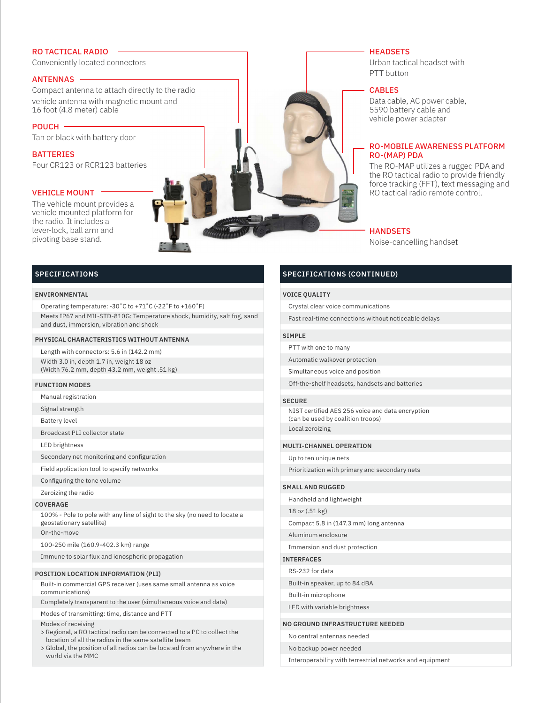## RO TACTICAL RADIO

Conveniently located connectors

## ANTENNAS

Compact antenna to attach directly to the radio vehicle antenna with magnetic mount and 16 foot (4.8 meter) cable

POUCH Tan or black with battery door

BATTERIES Four CR123 or RCR123 batteries

## **VEHICLE MOUNT**

The vehicle mount provides a vehicle mounted platform for the radio. It includes a lever-lock, ball arm and pivoting base stand.

## **HEADSETS**

Urban tactical headset with PTT button

## CABLES

Data cable, AC power cable, 5590 battery cable and vehicle power adapter

## RO-MOBILE AWARENESS PLATFORM RO-(MAP) PDA

The RO-MAP utilizes a rugged PDA and the RO tactical radio to provide friendly force tracking (FFT), text messaging and RO tactical radio remote control.

## **HANDSETS**

Noise-cancelling handset

## **SPECIFICATIONS**

## **ENVIRONMENTAL**

Operating temperature: -30˚C to +71˚C (-22˚F to +160˚F) Meets IP67 and MIL-STD-810G: Temperature shock, humidity, salt fog, sand and dust, immersion, vibration and shock

#### **PHYSICAL CHARACTERISTICS WITHOUT ANTENNA**

Length with connectors: 5.6 in (142.2 mm) Width 3.0 in, depth 1.7 in, weight 18 oz (Width 76.2 mm, depth 43.2 mm, weight .51 kg)

## **FUNCTION MODES**

Manual registration

Signal strength

Battery level

Broadcast PLI collector state

LED brightness

Secondary net monitoring and configuration

Field application tool to specify networks

Configuring the tone volume

Zeroizing the radio

#### **COVERAGE**

100% - Pole to pole with any line of sight to the sky (no need to locate a geostationary satellite)

On-the-move

100-250 mile (160.9-402.3 km) range

Immune to solar flux and ionospheric propagation

#### **POSITION LOCATION INFORMATION (PLI)**

Built-in commercial GPS receiver (uses same small antenna as voice communications)

Completely transparent to the user (simultaneous voice and data)

Modes of transmitting: time, distance and PTT

Modes of receiving

- > Regional, a RO tactical radio can be connected to a PC to collect the location of all the radios in the same satellite beam
- > Global, the position of all radios can be located from anywhere in the world via the MMC

## **SPECIFICATIONS (CONTINUED)**

#### **VOICE QUALITY**

Crystal clear voice communications

Fast real-time connections without noticeable delays

### **SIMPLE**

PTT with one to many

Automatic walkover protection

Simultaneous voice and position

Off-the-shelf headsets, handsets and batteries

#### **SECURE**

NIST certified AES 256 voice and data encryption (can be used by coalition troops) Local zeroizing

## **MULTI-CHANNEL OPERATION**

Up to ten unique nets

Prioritization with primary and secondary nets

#### **SMALL AND RUGGED**

Handheld and lightweight

18 oz (.51 kg)

Compact 5.8 in (147.3 mm) long antenna

Aluminum enclosure

Immersion and dust protection

## **INTERFACES**

RS-232 for data

Built-in speaker, up to 84 dBA

Built-in microphone

LED with variable brightness

### **NO GROUND INFRASTRUCTURE NEEDED**

No central antennas needed

No backup power needed

Interoperability with terrestrial networks and equipment